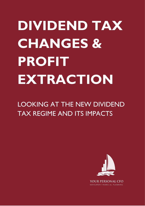# **DIVIDEND TAX CHANGES & PROFIT EXTRACTION**

LOOKING AT THE NEW DIVIDEND TAX REGIME AND ITS IMPACTS

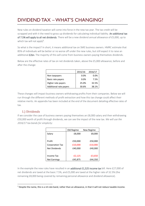# DIVIDEND TAX – WHAT'S CHANGING?

New rules on dividend taxation will come into force in the new tax year. The tax credit will be scrapped and with it the need to gross up dividends for calculating individual liability. An additional tax of 7.5% will apply to all net dividends. There will be a new dividend annual allowance of £5,000, up to which tax will not apply<sup>1</sup>.

So what is the impact? In short, it means additional tax on SME business owners. HMRC estimate that 85% of individuals will be better or no worse off under the new rules, but still expect it to raise an additional **£2bn**. The majority of this will come from business owners paying themselves dividends.

Below are the effective rates of tax on net dividends taken, above the £5,000 allowance, before and after the change:

|                        | 2015/16 | 2016/17 |
|------------------------|---------|---------|
| Non taxpayers          | 0.0%    | $0.0\%$ |
| Basic rate payers      | 0.0%    | 7.5%    |
| Higher rate payers     | 25.0%   | 32.5%   |
| Additional rate payers | 30.6%   | 38.1%   |

These changes will impact business owners withdrawing profits from their companies. Below we will run through the different methods of profit extraction and how this tax change could affect their relative merits. An appendix has been included at the end of the document detailing effective rates of tax.

#### 1.) Dividends

If we consider the case of business owners paying themselves an £8,000 salary and then withdrawing £50,000 worth of profit through dividends, we can see the impact of the new tax. *We will use the 2016/17 tax bands for simplicity:*

|                        | Old Regime | New Regime |
|------------------------|------------|------------|
| Salary                 | £8,000     | £8,000     |
|                        |            |            |
| Profit                 | £50,000    | £50,000    |
| <b>Corporation Tax</b> | $-£10,000$ | $-£10,000$ |
| Net Dividends          | £40,000    | £40,000    |
|                        |            |            |
| Income Tax             | $-E2,125$  | $-£3,650$  |
| <b>Net Earnings</b>    | £45,875    | £44,350    |

In the example the new rules have resulted in an additional £1,525 income tax bill. Here £27,000 of net dividends are taxed at the basic 7.5%, and £5,000 are taxed at the higher rate of 32.5% (the remaining £8,000 being covered by remaining personal allowance and dividend allowance).

**<sup>.</sup>**  $1$  Despite the name, this is a nil-rate band, rather than an allowance, in that it will not reduce taxable income.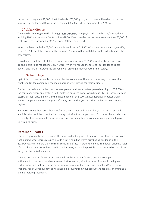Under the old regime £31,500 of net dividends (£35,000 gross) would have suffered no further tax (covered by the tax credit), with the remaining £8,500 net dividends subject to 25% tax.

#### 2.) Salary/Bonus

The new dividend regime will still be far more attractive than paying additional salary/bonus, due to avoiding National Insurance Contributions (NICs). If we consider the previous example, the £50,000 of profit could have provided a £43,950 bonus (after employer NICs).

When combined with the £8,000 salary, this would incur £14,352 of income tax and employee NICs, giving £37,598 net total earnings. This is some £6,752 less than with taking net dividends under the new regime.

Consider also that the calculations assume Corporation Tax at 20%. Corporation Tax in Northern Ireland is due to be reduced to 12% in 2018, which will reduce the total tax burden for business owners and further improve the desirability of drawing dividends rather than salary.

#### 3.) Self-employed

Up to this point we have only considered limited companies. However, many may now reconsider whether a limited company is the most appropriate structure for their business.

For fair comparison with the previous example we can look at self-employed earnings of £58,000 – the combined salary and profit. A Self Employed business owner would incur £12,400 income tax and £3,590 of NICs (Class 2 and 4), giving a net income of £42,010. Whilst substantially better than a limited company director taking salary/bonus, this is still £2,340 less than under the new dividend regime.

It is worth noting there are other benefits of partnerships and sole trading, in particular reduced administration and the potential for running cost effective company cars. Of course, there is also the possibility of having multiple business structures, including limited companies and partnerships or sole trading firms.

# **Retained Profits**

For the majority of business owners, the new dividend regime will be more penal than the last. With that in mind, where large retained profits exist, it could be worth distributing dividends in the 2015/16 tax year, before the new rules come into effect, in order to benefit from lower effective rates of tax. Where sums are still required in the business, it could be possible to organise a director's loan, using the distributed amounts.

The decision to bring forwards dividends will not be a straightforward one. For example, if entitlement to the personal allowance was lost as a result, effective rates of tax could be higher. Furthermore, amounts left in the business may qualify for Entrepreneur's Relief and/or Business Property Relief. Consequently, advice should be sought from your accountant, tax advisor or financial planner before proceeding.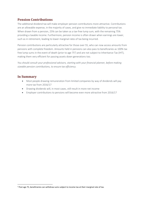# **Pension Contributions**

The additional dividend tax will make employer pension contributions more attractive. Contributions are an allowable expense, in the majority of cases, and give no immediate liability to personal tax. When drawn from a pension, 25% can be taken as a tax-free lump sum, with the remaining 75% providing a taxable income. Furthermore, pension income is often drawn when earnings are lower, such as in retirement, leading to lower marginal rates of tax being incurred.

Pension contributions are particularly attractive for those over 55, who can now access amounts from pensions with complete freedom. Amounts held in pensions can also pass to beneficiaries as 100% tax free lump sums in the event of death (prior to age  $75<sup>2</sup>$ ) and are not subject to Inheritance Tax (IHT), making them very efficient for passing assets down generations too.

*You should consult your professional advisors, starting with your financial planner, before making sizeable pension contributions, to ensure tax efficiency.*

#### **In Summary**

**.** 

- Most people drawing remuneration from limited companies by way of dividends will pay more tax from 2016/17
- Drawing dividends will, in most cases, still result in more net income
- Employer contributions to pensions will become even more attractive from 2016/17

<sup>&</sup>lt;sup>2</sup> Post age 75, beneficiaries can withdraw sums subject to income tax at their marginal rate of tax.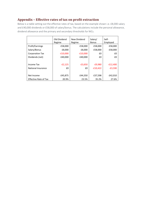# **Appendix – Effective rates of tax on profit extraction**

Below is a table setting out the effective rates of tax, based on the example shown i.e. £8,000 salary and £40,000 dividends or £58,000 of salary/bonus. The calculations include the personal allowance, dividend allowance and the primary and secondary thresholds for NICs.

|                              | Old Dividend<br>Regime | New Dividend<br>Regime | Salary/<br><b>Bonus</b> | Self-<br>Employed |
|------------------------------|------------------------|------------------------|-------------------------|-------------------|
| Profit/Earnings              | £58,000                | £58,000                | £58,000                 | £58,000           |
| Salary/Bonus                 | £8,000                 | £8,000                 | £58,000                 | £58,000           |
| <b>Corporation Tax</b>       | $-£10,000$             | $-£10,000$             | £0                      | £0                |
| Dividends (net)              | £40,000                | £40,000                | £0                      | £0                |
|                              |                        |                        |                         |                   |
| Income Tax                   | $-E2,125$              | $-£3,650$              | $-£9,980$               | $-E12,400$        |
| National Insurance           | £0                     | £0                     | $-£10,422$              | $-E3,590$         |
|                              |                        |                        |                         |                   |
| Net Income                   | £45,875                | £44,350                | £37,598                 | £42,010           |
| <b>Effective Rate of Tax</b> | 20.9%                  | 23.5%                  | 35.2%                   | 27.6%             |